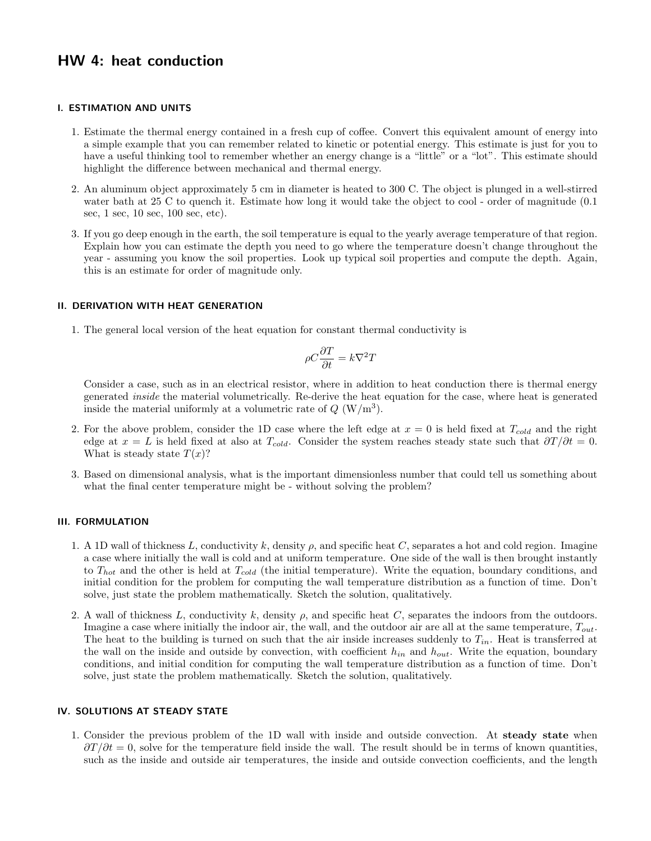# HW 4: heat conduction

#### I. ESTIMATION AND UNITS

- 1. Estimate the thermal energy contained in a fresh cup of coffee. Convert this equivalent amount of energy into a simple example that you can remember related to kinetic or potential energy. This estimate is just for you to have a useful thinking tool to remember whether an energy change is a "little" or a "lot". This estimate should highlight the difference between mechanical and thermal energy.
- 2. An aluminum object approximately 5 cm in diameter is heated to 300 C. The object is plunged in a well-stirred water bath at 25 C to quench it. Estimate how long it would take the object to cool - order of magnitude  $(0.1)$ sec, 1 sec, 10 sec, 100 sec, etc).
- 3. If you go deep enough in the earth, the soil temperature is equal to the yearly average temperature of that region. Explain how you can estimate the depth you need to go where the temperature doesn't change throughout the year - assuming you know the soil properties. Look up typical soil properties and compute the depth. Again, this is an estimate for order of magnitude only.

# II. DERIVATION WITH HEAT GENERATION

1. The general local version of the heat equation for constant thermal conductivity is

$$
\rho C\frac{\partial T}{\partial t}=k\nabla^2 T
$$

Consider a case, such as in an electrical resistor, where in addition to heat conduction there is thermal energy generated inside the material volumetrically. Re-derive the heat equation for the case, where heat is generated inside the material uniformly at a volumetric rate of  $Q(W/m^3)$ .

- 2. For the above problem, consider the 1D case where the left edge at  $x = 0$  is held fixed at  $T_{cold}$  and the right edge at  $x = L$  is held fixed at also at  $T_{cold}$ . Consider the system reaches steady state such that  $\partial T/\partial t = 0$ . What is steady state  $T(x)$ ?
- 3. Based on dimensional analysis, what is the important dimensionless number that could tell us something about what the final center temperature might be - without solving the problem?

# III. FORMULATION

- 1. A 1D wall of thickness L, conductivity k, density  $\rho$ , and specific heat C, separates a hot and cold region. Imagine a case where initially the wall is cold and at uniform temperature. One side of the wall is then brought instantly to  $T_{hot}$  and the other is held at  $T_{cold}$  (the initial temperature). Write the equation, boundary conditions, and initial condition for the problem for computing the wall temperature distribution as a function of time. Don't solve, just state the problem mathematically. Sketch the solution, qualitatively.
- 2. A wall of thickness L, conductivity k, density  $\rho$ , and specific heat C, separates the indoors from the outdoors. Imagine a case where initially the indoor air, the wall, and the outdoor air are all at the same temperature,  $T_{out}$ . The heat to the building is turned on such that the air inside increases suddenly to  $T_{in}$ . Heat is transferred at the wall on the inside and outside by convection, with coefficient  $h_{in}$  and  $h_{out}$ . Write the equation, boundary conditions, and initial condition for computing the wall temperature distribution as a function of time. Don't solve, just state the problem mathematically. Sketch the solution, qualitatively.

### IV. SOLUTIONS AT STEADY STATE

1. Consider the previous problem of the 1D wall with inside and outside convection. At steady state when  $\partial T/\partial t = 0$ , solve for the temperature field inside the wall. The result should be in terms of known quantities, such as the inside and outside air temperatures, the inside and outside convection coefficients, and the length